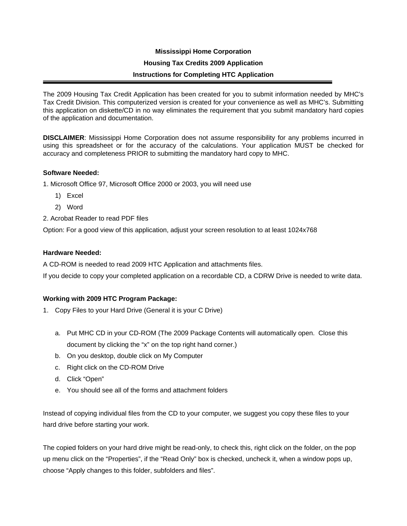# **Mississippi Home Corporation Housing Tax Credits 2009 Application Instructions for Completing HTC Application**

The 2009 Housing Tax Credit Application has been created for you to submit information needed by MHC's Tax Credit Division. This computerized version is created for your convenience as well as MHC's. Submitting this application on diskette/CD in no way eliminates the requirement that you submit mandatory hard copies of the application and documentation.

**DISCLAIMER**: Mississippi Home Corporation does not assume responsibility for any problems incurred in using this spreadsheet or for the accuracy of the calculations. Your application MUST be checked for accuracy and completeness PRIOR to submitting the mandatory hard copy to MHC.

### **Software Needed:**

1. Microsoft Office 97, Microsoft Office 2000 or 2003, you will need use

- 1) Excel
- 2) Word

2. Acrobat Reader to read PDF files

Option: For a good view of this application, adjust your screen resolution to at least 1024x768

#### **Hardware Needed:**

A CD-ROM is needed to read 2009 HTC Application and attachments files.

If you decide to copy your completed application on a recordable CD, a CDRW Drive is needed to write data.

### **Working with 2009 HTC Program Package:**

- 1. Copy Files to your Hard Drive (General it is your C Drive)
	- a. Put MHC CD in your CD-ROM (The 2009 Package Contents will automatically open. Close this document by clicking the "x" on the top right hand corner.)
	- b. On you desktop, double click on My Computer
	- c. Right click on the CD-ROM Drive
	- d. Click "Open"
	- e. You should see all of the forms and attachment folders

Instead of copying individual files from the CD to your computer, we suggest you copy these files to your hard drive before starting your work.

The copied folders on your hard drive might be read-only, to check this, right click on the folder, on the pop up menu click on the "Properties", if the "Read Only" box is checked, uncheck it, when a window pops up, choose "Apply changes to this folder, subfolders and files".